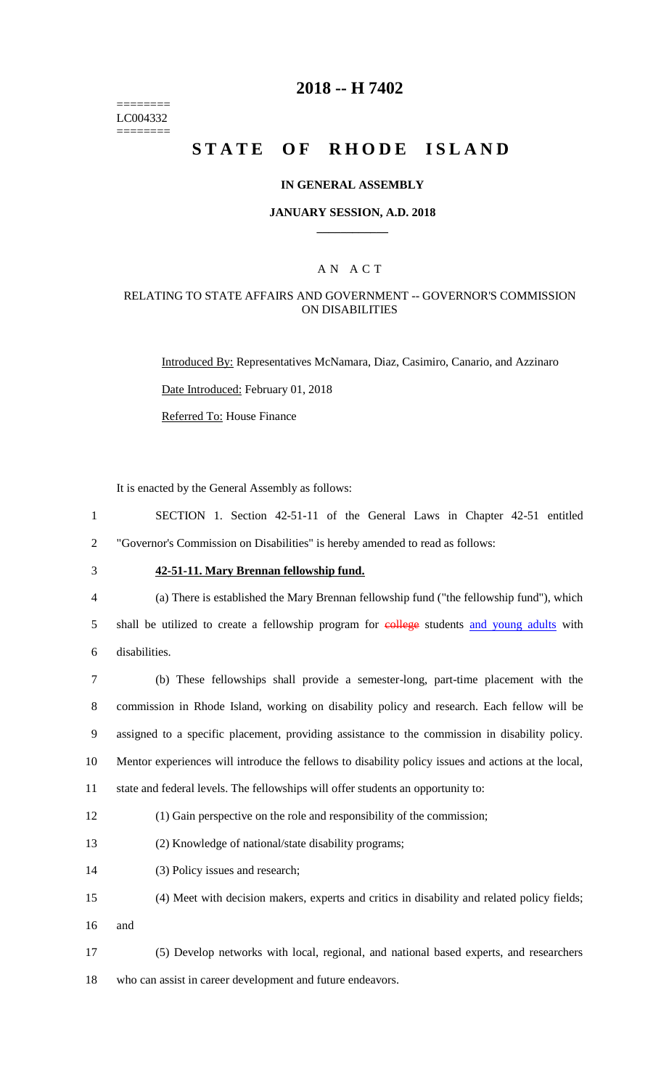======== LC004332 ========

### **2018 -- H 7402**

# **STATE OF RHODE ISLAND**

#### **IN GENERAL ASSEMBLY**

#### **JANUARY SESSION, A.D. 2018 \_\_\_\_\_\_\_\_\_\_\_\_**

#### A N A C T

#### RELATING TO STATE AFFAIRS AND GOVERNMENT -- GOVERNOR'S COMMISSION ON DISABILITIES

Introduced By: Representatives McNamara, Diaz, Casimiro, Canario, and Azzinaro

Date Introduced: February 01, 2018

Referred To: House Finance

It is enacted by the General Assembly as follows:

1 SECTION 1. Section 42-51-11 of the General Laws in Chapter 42-51 entitled 2 "Governor's Commission on Disabilities" is hereby amended to read as follows:

### 3 **42-51-11. Mary Brennan fellowship fund.**

4 (a) There is established the Mary Brennan fellowship fund ("the fellowship fund"), which 5 shall be utilized to create a fellowship program for eollege students and young adults with 6 disabilities.

 (b) These fellowships shall provide a semester-long, part-time placement with the commission in Rhode Island, working on disability policy and research. Each fellow will be assigned to a specific placement, providing assistance to the commission in disability policy. Mentor experiences will introduce the fellows to disability policy issues and actions at the local, state and federal levels. The fellowships will offer students an opportunity to:

12 (1) Gain perspective on the role and responsibility of the commission;

13 (2) Knowledge of national/state disability programs;

- 14 (3) Policy issues and research;
- 15 (4) Meet with decision makers, experts and critics in disability and related policy fields;
- 16 and
- 17 (5) Develop networks with local, regional, and national based experts, and researchers 18 who can assist in career development and future endeavors.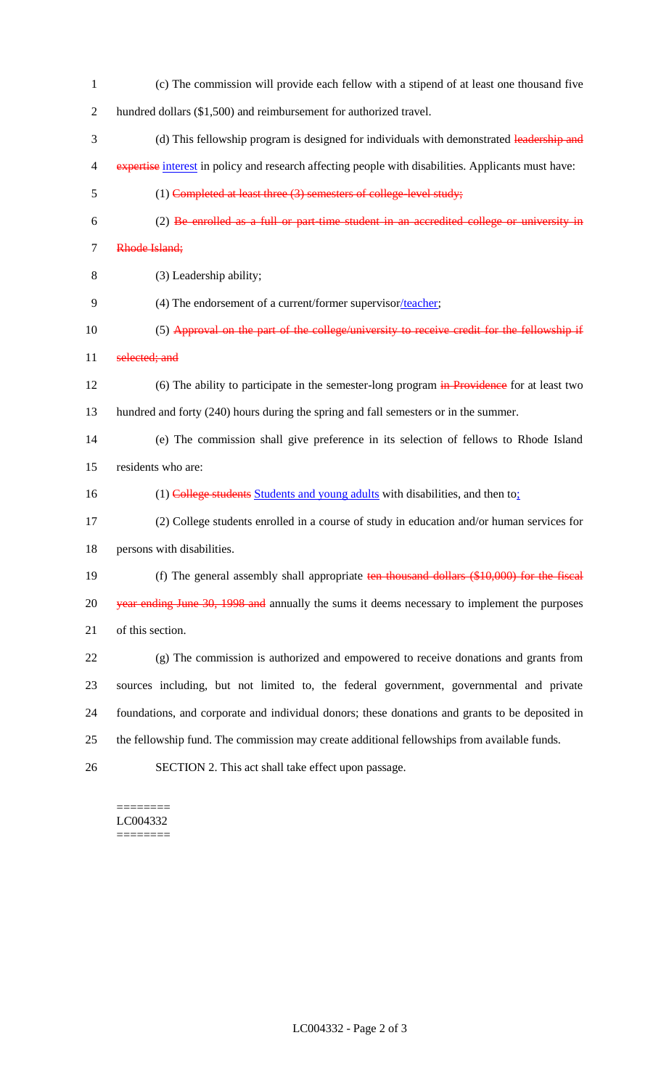(c) The commission will provide each fellow with a stipend of at least one thousand five hundred dollars (\$1,500) and reimbursement for authorized travel. 3 (d) This fellowship program is designed for individuals with demonstrated leadership and 4 expertise interest in policy and research affecting people with disabilities. Applicants must have: (1) Completed at least three (3) semesters of college-level study; (2) Be enrolled as a full or part-time student in an accredited college or university in Rhode Island; (3) Leadership ability; (4) The endorsement of a current/former supervisor/teacher; 10 (5) Approval on the part of the college/university to receive credit for the fellowship if 11 selected; and 12 (6) The ability to participate in the semester-long program in Providence for at least two hundred and forty (240) hours during the spring and fall semesters or in the summer. (e) The commission shall give preference in its selection of fellows to Rhode Island residents who are: 16 (1) College students Students and young adults with disabilities, and then to: (2) College students enrolled in a course of study in education and/or human services for persons with disabilities. 19 (f) The general assembly shall appropriate ten thousand dollars (\$10,000) for the fiscal 20 year ending June 30, 1998 and annually the sums it deems necessary to implement the purposes of this section. (g) The commission is authorized and empowered to receive donations and grants from sources including, but not limited to, the federal government, governmental and private foundations, and corporate and individual donors; these donations and grants to be deposited in the fellowship fund. The commission may create additional fellowships from available funds. SECTION 2. This act shall take effect upon passage.

======== LC004332 ========